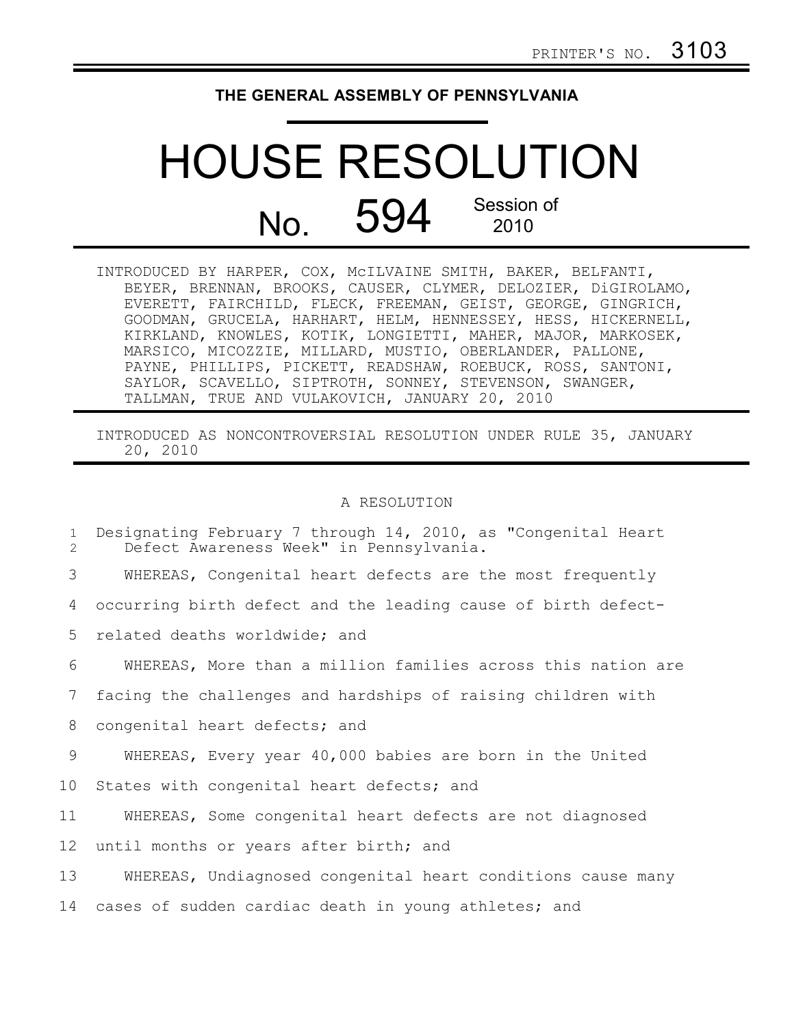## **THE GENERAL ASSEMBLY OF PENNSYLVANIA**

## HOUSE RESOLUTION No. 594 Session of 2010

| INTRODUCED BY HARPER, COX, MCILVAINE SMITH, BAKER, BELFANTI,  |
|---------------------------------------------------------------|
| BEYER, BRENNAN, BROOKS, CAUSER, CLYMER, DELOZIER, DiGIROLAMO, |
| EVERETT, FAIRCHILD, FLECK, FREEMAN, GEIST, GEORGE, GINGRICH,  |
| GOODMAN, GRUCELA, HARHART, HELM, HENNESSEY, HESS, HICKERNELL, |
| KIRKLAND, KNOWLES, KOTIK, LONGIETTI, MAHER, MAJOR, MARKOSEK,  |
| MARSICO, MICOZZIE, MILLARD, MUSTIO, OBERLANDER, PALLONE,      |
| PAYNE, PHILLIPS, PICKETT, READSHAW, ROEBUCK, ROSS, SANTONI,   |
| SAYLOR, SCAVELLO, SIPTROTH, SONNEY, STEVENSON, SWANGER,       |
| TALLMAN, TRUE AND VULAKOVICH, JANUARY 20, 2010                |

INTRODUCED AS NONCONTROVERSIAL RESOLUTION UNDER RULE 35, JANUARY 20, 2010

## A RESOLUTION

| $\mathbf{1}$<br>$\mathcal{L}$ | Designating February 7 through 14, 2010, as "Congenital Heart<br>Defect Awareness Week" in Pennsylvania. |
|-------------------------------|----------------------------------------------------------------------------------------------------------|
| 3                             | WHEREAS, Congenital heart defects are the most frequently                                                |
| 4                             | occurring birth defect and the leading cause of birth defect-                                            |
| 5                             | related deaths worldwide; and                                                                            |
| 6                             | WHEREAS, More than a million families across this nation are                                             |
| 7                             | facing the challenges and hardships of raising children with                                             |
| 8                             | congenital heart defects; and                                                                            |
| 9                             | WHEREAS, Every year 40,000 babies are born in the United                                                 |
| 10                            | States with congenital heart defects; and                                                                |
| 11                            | WHEREAS, Some congenital heart defects are not diagnosed                                                 |
| 12                            | until months or years after birth; and                                                                   |
| 13                            | WHEREAS, Undiagnosed congenital heart conditions cause many                                              |
| 14                            | cases of sudden cardiac death in young athletes; and                                                     |
|                               |                                                                                                          |